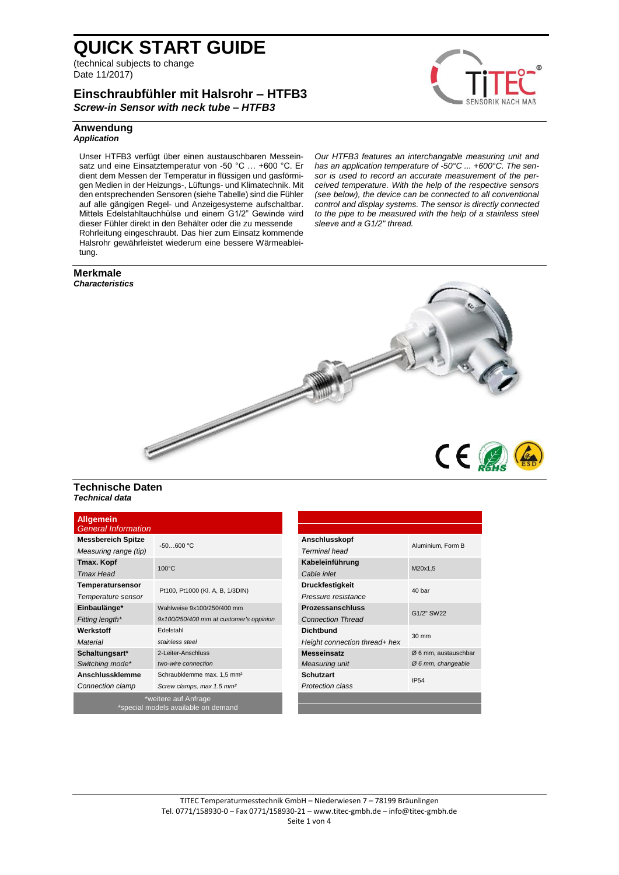(technical subjects to change Date 11/2017)

### **Einschraubfühler mit Halsrohr – HTFB3** *Screw-in Sensor with neck tube – HTFB3*



#### **Anwendung** *Application*

Unser HTFB3 verfügt über einen austauschbaren Messeinsatz und eine Einsatztemperatur von -50 °C … +600 °C. Er dient dem Messen der Temperatur in flüssigen und gasförmigen Medien in der Heizungs-, Lüftungs- und Klimatechnik. Mit den entsprechenden Sensoren (siehe Tabelle) sind die Fühler auf alle gängigen Regel- und Anzeigesysteme aufschaltbar. Mittels Edelstahltauchhülse und einem G1/2" Gewinde wird dieser Fühler direkt in den Behälter oder die zu messende Rohrleitung eingeschraubt. Das hier zum Einsatz kommende Halsrohr gewährleistet wiederum eine bessere Wärmeableitung.

#### *Our HTFB3 features an interchangable measuring unit and has an application temperature of -50°C ... +600°C. The sensor is used to record an accurate measurement of the perceived temperature. With the help of the respective sensors (see below), the device can be connected to all conventional control and display systems. The sensor is directly connected to the pipe to be measured with the help of a stainless steel sleeve and a G1/2" thread.*





### **Technische Daten** *Technical data*

| <b>Allgemein</b><br><b>General Information</b> |                                         |                               |                      |  |
|------------------------------------------------|-----------------------------------------|-------------------------------|----------------------|--|
| <b>Messbereich Spitze</b>                      | $-50600 °C$                             | Anschlusskopf                 |                      |  |
| Measuring range (tip)                          |                                         | Terminal head                 | Aluminium, Form B    |  |
| Tmax. Kopf                                     | $100^{\circ}$ C                         | Kabeleinführung               | M20x1,5              |  |
| Tmax Head                                      |                                         | Cable inlet                   |                      |  |
| Temperatursensor                               | Pt100, Pt1000 (KI. A, B, 1/3DIN)        | <b>Druckfestigkeit</b>        | 40 bar               |  |
| Temperature sensor                             |                                         | Pressure resistance           |                      |  |
| Einbaulänge*                                   | Wahlweise 9x100/250/400 mm              | <b>Prozessanschluss</b>       | G1/2" SW22           |  |
| Fitting length*                                | 9x100/250/400 mm at customer's oppinion | <b>Connection Thread</b>      |                      |  |
| Werkstoff                                      | Edelstahl                               | <b>Dichtbund</b>              | 30 mm                |  |
| Material                                       | stainless steel                         | Height connection thread+ hex |                      |  |
| Schaltungsart*                                 | 2-Leiter-Anschluss                      | <b>Messeinsatz</b>            | Ø 6 mm, austauschbar |  |
| Switching mode*                                | two-wire connection                     | Measuring unit                | $Ø$ 6 mm, changeable |  |
| Anschlussklemme                                | Schraubklemme max. 1,5 mm <sup>2</sup>  | <b>Schutzart</b>              | IP54                 |  |
| Connection clamp                               | Screw clamps, max 1.5 mm <sup>2</sup>   | <b>Protection class</b>       |                      |  |
|                                                | *weitere auf Anfrage                    |                               |                      |  |

\*special models available on demand

| Aluminium, Form B              |  |  |
|--------------------------------|--|--|
|                                |  |  |
| 40 <sub>bar</sub>              |  |  |
|                                |  |  |
|                                |  |  |
| $30 \text{ mm}$                |  |  |
|                                |  |  |
| Ø 6 mm, austauschbar           |  |  |
| $\varnothing$ 6 mm, changeable |  |  |
| IP54                           |  |  |
|                                |  |  |
|                                |  |  |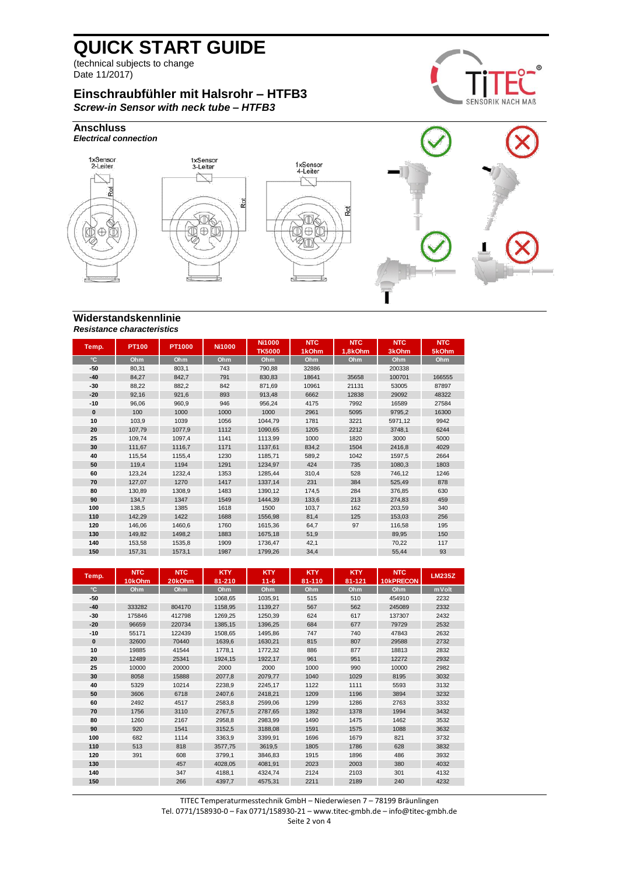(technical subjects to change Date 11/2017)

# **Einschraubfühler mit Halsrohr – HTFB3** *Screw-in Sensor with neck tube – HTFB3*





### **Widerstandskennlinie** *Resistance characteristics*

| Temp.        | PT100  | <b>PT1000</b> | <b>Ni1000</b> | <b>Ni1000</b><br><b>TK5000</b> | <b>NTC</b><br>1kOhm | <b>NTC</b><br>1.8kOhm | <b>NTC</b><br>3kOhm | <b>NTC</b><br>5kOhm |
|--------------|--------|---------------|---------------|--------------------------------|---------------------|-----------------------|---------------------|---------------------|
| $^{\circ}$ C | Ohm    | Ohm           | Ohm           | Ohm                            | Ohm                 | Ohm                   | Ohm                 | Ohm                 |
| -50          | 80,31  | 803.1         | 743           | 790.88                         | 32886               |                       | 200338              |                     |
| $-40$        | 84,27  | 842,7         | 791           | 830,83                         | 18641               | 35658                 | 100701              | 166555              |
| $-30$        | 88,22  | 882,2         | 842           | 871,69                         | 10961               | 21131                 | 53005               | 87897               |
| $-20$        | 92,16  | 921,6         | 893           | 913,48                         | 6662                | 12838                 | 29092               | 48322               |
| $-10$        | 96,06  | 960,9         | 946           | 956,24                         | 4175                | 7992                  | 16589               | 27584               |
| $\bf{0}$     | 100    | 1000          | 1000          | 1000                           | 2961                | 5095                  | 9795,2              | 16300               |
| 10           | 103.9  | 1039          | 1056          | 1044.79                        | 1781                | 3221                  | 5971,12             | 9942                |
| 20           | 107,79 | 1077.9        | 1112          | 1090.65                        | 1205                | 2212                  | 3748.1              | 6244                |
| 25           | 109.74 | 1097.4        | 1141          | 1113.99                        | 1000                | 1820                  | 3000                | 5000                |
| 30           | 111,67 | 1116.7        | 1171          | 1137,61                        | 834,2               | 1504                  | 2416,8              | 4029                |
| 40           | 115,54 | 1155.4        | 1230          | 1185.71                        | 589.2               | 1042                  | 1597.5              | 2664                |
| 50           | 119,4  | 1194          | 1291          | 1234,97                        | 424                 | 735                   | 1080,3              | 1803                |
| 60           | 123,24 | 1232,4        | 1353          | 1285.44                        | 310,4               | 528                   | 746,12              | 1246                |
| 70           | 127,07 | 1270          | 1417          | 1337,14                        | 231                 | 384                   | 525,49              | 878                 |
| 80           | 130,89 | 1308,9        | 1483          | 1390,12                        | 174,5               | 284                   | 376,85              | 630                 |
| 90           | 134.7  | 1347          | 1549          | 1444.39                        | 133.6               | 213                   | 274.83              | 459                 |
| 100          | 138.5  | 1385          | 1618          | 1500                           | 103.7               | 162                   | 203,59              | 340                 |
| 110          | 142.29 | 1422          | 1688          | 1556.98                        | 81.4                | 125                   | 153,03              | 256                 |
| 120          | 146,06 | 1460.6        | 1760          | 1615.36                        | 64.7                | 97                    | 116,58              | 195                 |
| 130          | 149,82 | 1498,2        | 1883          | 1675,18                        | 51,9                |                       | 89,95               | 150                 |
| 140          | 153,58 | 1535,8        | 1909          | 1736,47                        | 42,1                |                       | 70,22               | 117                 |
| 150          | 157,31 | 1573,1        | 1987          | 1799,26                        | 34,4                |                       | 55,44               | 93                  |

| Temp.        | <b>NTC</b> | <b>NTC</b> | <b>KTY</b> | <b>KTY</b> | <b>KTY</b> | <b>KTY</b> | <b>NTC</b> | <b>LM235Z</b> |
|--------------|------------|------------|------------|------------|------------|------------|------------|---------------|
|              | 10kOhm     | 20kOhm     | 81-210     | $11 - 6$   | 81-110     | 81-121     | 10kPRECON  |               |
| $^{\circ}$ C | Ohm        | Ohm        | Ohm        | Ohm        | Ohm        | Ohm        | Ohm        | mVolt         |
| -50          |            |            | 1068.65    | 1035.91    | 515        | 510        | 454910     | 2232          |
| $-40$        | 333282     | 804170     | 1158,95    | 1139,27    | 567        | 562        | 245089     | 2332          |
| -30          | 175846     | 412798     | 1269.25    | 1250.39    | 624        | 617        | 137307     | 2432          |
| $-20$        | 96659      | 220734     | 1385,15    | 1396,25    | 684        | 677        | 79729      | 2532          |
| $-10$        | 55171      | 122439     | 1508.65    | 1495.86    | 747        | 740        | 47843      | 2632          |
| $\mathbf{0}$ | 32600      | 70440      | 1639,6     | 1630,21    | 815        | 807        | 29588      | 2732          |
| 10           | 19885      | 41544      | 1778,1     | 1772,32    | 886        | 877        | 18813      | 2832          |
| 20           | 12489      | 25341      | 1924,15    | 1922,17    | 961        | 951        | 12272      | 2932          |
| 25           | 10000      | 20000      | 2000       | 2000       | 1000       | 990        | 10000      | 2982          |
| 30           | 8058       | 15888      | 2077,8     | 2079,77    | 1040       | 1029       | 8195       | 3032          |
| 40           | 5329       | 10214      | 2238,9     | 2245,17    | 1122       | 1111       | 5593       | 3132          |
| 50           | 3606       | 6718       | 2407,6     | 2418,21    | 1209       | 1196       | 3894       | 3232          |
| 60           | 2492       | 4517       | 2583,8     | 2599,06    | 1299       | 1286       | 2763       | 3332          |
| 70           | 1756       | 3110       | 2767.5     | 2787.65    | 1392       | 1378       | 1994       | 3432          |
| 80           | 1260       | 2167       | 2958,8     | 2983,99    | 1490       | 1475       | 1462       | 3532          |
| 90           | 920        | 1541       | 3152.5     | 3188.08    | 1591       | 1575       | 1088       | 3632          |
| 100          | 682        | 1114       | 3363,9     | 3399,91    | 1696       | 1679       | 821        | 3732          |
| 110          | 513        | 818        | 3577.75    | 3619.5     | 1805       | 1786       | 628        | 3832          |
| 120          | 391        | 608        | 3799,1     | 3846,83    | 1915       | 1896       | 486        | 3932          |
| 130          |            | 457        | 4028,05    | 4081.91    | 2023       | 2003       | 380        | 4032          |
| 140          |            | 347        | 4188,1     | 4324,74    | 2124       | 2103       | 301        | 4132          |
| 150          |            | 266        | 4397.7     | 4575.31    | 2211       | 2189       | 240        | 4232          |

TITEC Temperaturmesstechnik GmbH – Niederwiesen 7 – 78199 Bräunlingen Tel. 0771/158930-0 – Fax 0771/158930-21 – [www.titec-gmbh.de](http://www.titec-gmbh.de/) – [info@titec-gmbh.de](mailto:info@titec-gmbh.de) Seite 2 von 4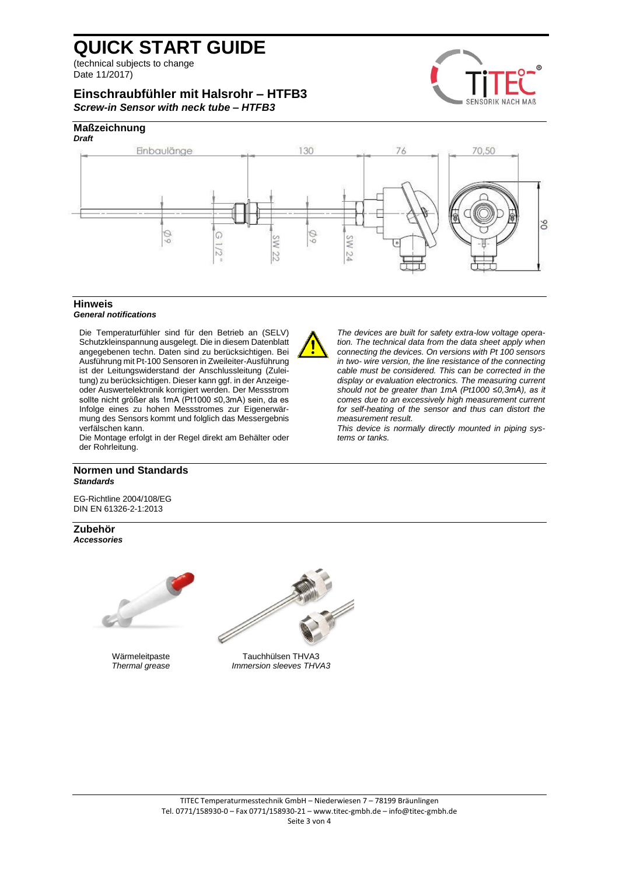(technical subjects to change Date 11/2017)

# **Einschraubfühler mit Halsrohr – HTFB3** *Screw-in Sensor with neck tube – HTFB3*



# **Maßzeichnung**



### **Hinweis**

#### *General notifications*

Die Temperaturfühler sind für den Betrieb an (SELV) Schutzkleinspannung ausgelegt. Die in diesem Datenblatt angegebenen techn. Daten sind zu berücksichtigen. Bei Ausführung mit Pt-100 Sensoren in Zweileiter-Ausführung ist der Leitungswiderstand der Anschlussleitung (Zuleitung) zu berücksichtigen. Dieser kann ggf. in der Anzeigeoder Auswertelektronik korrigiert werden. Der Messstrom sollte nicht größer als 1mA (Pt1000 ≤0,3mA) sein, da es Infolge eines zu hohen Messstromes zur Eigenerwärmung des Sensors kommt und folglich das Messergebnis verfälschen kann.

Die Montage erfolgt in der Regel direkt am Behälter oder der Rohrleitung.

#### **Normen und Standards** *Standards*

EG-Richtline 2004/108/EG DIN EN 61326-2-1:2013

**Zubehör** *Accessories*





Wärmeleitpaste Tauchhülsen THVA3<br>Thermal grease THV *Thermal grease Immersion sleeves THVA3*



*The devices are built for safety extra-low voltage operation. The technical data from the data sheet apply when connecting the devices. On versions with Pt 100 sensors in two- wire version, the line resistance of the connecting cable must be considered. This can be corrected in the display or evaluation electronics. The measuring current should not be greater than 1mA (Pt1000 ≤0,3mA), as it comes due to an excessively high measurement current for self-heating of the sensor and thus can distort the measurement result.*

*This device is normally directly mounted in piping systems or tanks.*